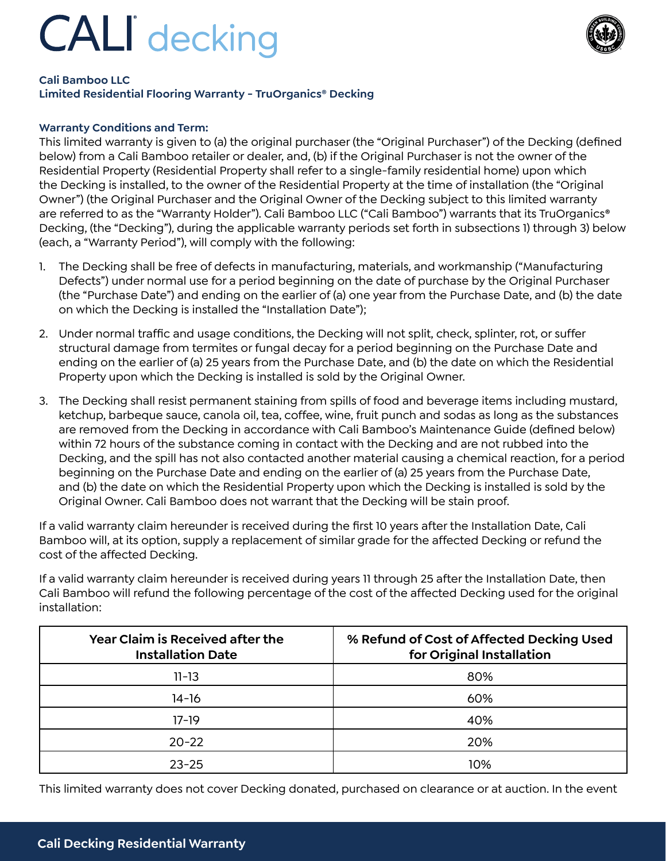# **CALI** decking



### **Cali Bamboo LLC**

**Limited Residential Flooring Warranty - TruOrganics® Decking**

### **Warranty Conditions and Term:**

This limited warranty is given to (a) the original purchaser (the "Original Purchaser") of the Decking (defined below) from a Cali Bamboo retailer or dealer, and, (b) if the Original Purchaser is not the owner of the Residential Property (Residential Property shall refer to a single-family residential home) upon which the Decking is installed, to the owner of the Residential Property at the time of installation (the "Original Owner") (the Original Purchaser and the Original Owner of the Decking subject to this limited warranty are referred to as the "Warranty Holder"). Cali Bamboo LLC ("Cali Bamboo") warrants that its TruOrganics® Decking, (the "Decking"), during the applicable warranty periods set forth in subsections 1) through 3) below (each, a "Warranty Period"), will comply with the following:

- 1. The Decking shall be free of defects in manufacturing, materials, and workmanship ("Manufacturing Defects") under normal use for a period beginning on the date of purchase by the Original Purchaser (the "Purchase Date") and ending on the earlier of (a) one year from the Purchase Date, and (b) the date on which the Decking is installed the "Installation Date");
- 2. Under normal traffic and usage conditions, the Decking will not split, check, splinter, rot, or suffer structural damage from termites or fungal decay for a period beginning on the Purchase Date and ending on the earlier of (a) 25 years from the Purchase Date, and (b) the date on which the Residential Property upon which the Decking is installed is sold by the Original Owner.
- 3. The Decking shall resist permanent staining from spills of food and beverage items including mustard, ketchup, barbeque sauce, canola oil, tea, coffee, wine, fruit punch and sodas as long as the substances are removed from the Decking in accordance with Cali Bamboo's Maintenance Guide (defined below) within 72 hours of the substance coming in contact with the Decking and are not rubbed into the Decking, and the spill has not also contacted another material causing a chemical reaction, for a period beginning on the Purchase Date and ending on the earlier of (a) 25 years from the Purchase Date, and (b) the date on which the Residential Property upon which the Decking is installed is sold by the Original Owner. Cali Bamboo does not warrant that the Decking will be stain proof.

If a valid warranty claim hereunder is received during the first 10 years after the Installation Date, Cali Bamboo will, at its option, supply a replacement of similar grade for the affected Decking or refund the cost of the affected Decking.

If a valid warranty claim hereunder is received during years 11 through 25 after the Installation Date, then Cali Bamboo will refund the following percentage of the cost of the affected Decking used for the original installation:

| <b>Year Claim is Received after the</b><br><b>Installation Date</b> | % Refund of Cost of Affected Decking Used<br>for Original Installation |
|---------------------------------------------------------------------|------------------------------------------------------------------------|
| $11 - 13$                                                           | 80%                                                                    |
| 14-16                                                               | 60%                                                                    |
| $17-19$                                                             | 40%                                                                    |
| $20 - 22$                                                           | 20%                                                                    |
| $23 - 25$                                                           | 10%                                                                    |

This limited warranty does not cover Decking donated, purchased on clearance or at auction. In the event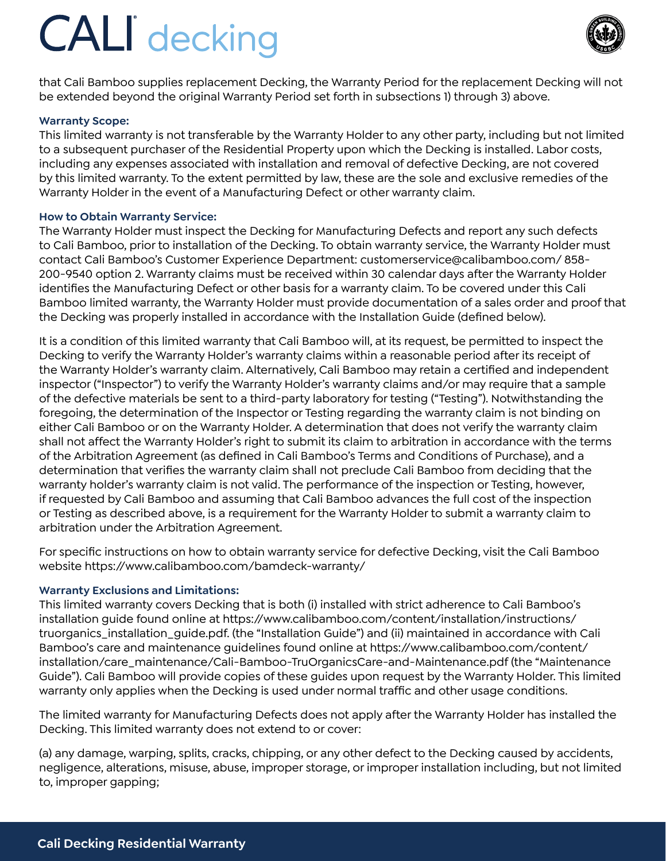## **CALI** decking



that Cali Bamboo supplies replacement Decking, the Warranty Period for the replacement Decking will not be extended beyond the original Warranty Period set forth in subsections 1) through 3) above.

### **Warranty Scope:**

This limited warranty is not transferable by the Warranty Holder to any other party, including but not limited to a subsequent purchaser of the Residential Property upon which the Decking is installed. Labor costs, including any expenses associated with installation and removal of defective Decking, are not covered by this limited warranty. To the extent permitted by law, these are the sole and exclusive remedies of the Warranty Holder in the event of a Manufacturing Defect or other warranty claim.

### **How to Obtain Warranty Service:**

The Warranty Holder must inspect the Decking for Manufacturing Defects and report any such defects to Cali Bamboo, prior to installation of the Decking. To obtain warranty service, the Warranty Holder must contact Cali Bamboo's Customer Experience Department: customerservice@calibamboo.com/ 858- 200-9540 option 2. Warranty claims must be received within 30 calendar days after the Warranty Holder identifies the Manufacturing Defect or other basis for a warranty claim. To be covered under this Cali Bamboo limited warranty, the Warranty Holder must provide documentation of a sales order and proof that the Decking was properly installed in accordance with the Installation Guide (defined below).

It is a condition of this limited warranty that Cali Bamboo will, at its request, be permitted to inspect the Decking to verify the Warranty Holder's warranty claims within a reasonable period after its receipt of the Warranty Holder's warranty claim. Alternatively, Cali Bamboo may retain a certified and independent inspector ("Inspector") to verify the Warranty Holder's warranty claims and/or may require that a sample of the defective materials be sent to a third-party laboratory for testing ("Testing"). Notwithstanding the foregoing, the determination of the Inspector or Testing regarding the warranty claim is not binding on either Cali Bamboo or on the Warranty Holder. A determination that does not verify the warranty claim shall not affect the Warranty Holder's right to submit its claim to arbitration in accordance with the terms of the Arbitration Agreement (as defined in Cali Bamboo's Terms and Conditions of Purchase), and a determination that verifies the warranty claim shall not preclude Cali Bamboo from deciding that the warranty holder's warranty claim is not valid. The performance of the inspection or Testing, however, if requested by Cali Bamboo and assuming that Cali Bamboo advances the full cost of the inspection or Testing as described above, is a requirement for the Warranty Holder to submit a warranty claim to arbitration under the Arbitration Agreement.

For specific instructions on how to obtain warranty service for defective Decking, visit the Cali Bamboo website https://www.calibamboo.com/bamdeck-warranty/

### **Warranty Exclusions and Limitations:**

This limited warranty covers Decking that is both (i) installed with strict adherence to Cali Bamboo's installation guide found online at https://www.calibamboo.com/content/installation/instructions/ truorganics\_installation\_guide.pdf. (the "Installation Guide") and (ii) maintained in accordance with Cali Bamboo's care and maintenance guidelines found online at https://www.calibamboo.com/content/ installation/care\_maintenance/Cali-Bamboo-TruOrganicsCare-and-Maintenance.pdf (the "Maintenance Guide"). Cali Bamboo will provide copies of these guides upon request by the Warranty Holder. This limited warranty only applies when the Decking is used under normal traffic and other usage conditions.

The limited warranty for Manufacturing Defects does not apply after the Warranty Holder has installed the Decking. This limited warranty does not extend to or cover:

(a) any damage, warping, splits, cracks, chipping, or any other defect to the Decking caused by accidents, negligence, alterations, misuse, abuse, improper storage, or improper installation including, but not limited to, improper gapping;